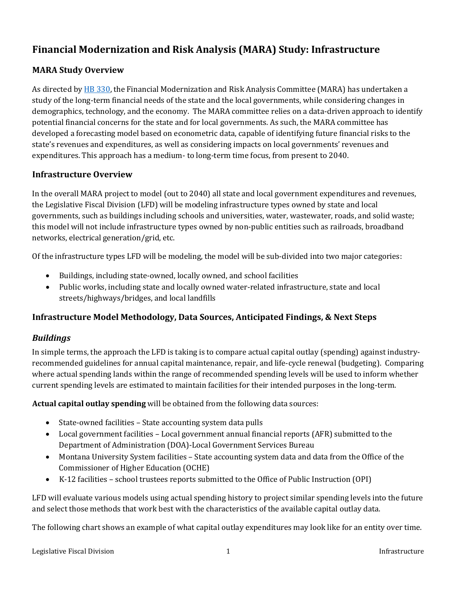# **Financial Modernization and Risk Analysis (MARA) Study: Infrastructure**

## **MARA Study Overview**

As directed b[y HB 330,](http://laws.leg.mt.gov/legprd/LAW0203W$BSRV.ActionQuery?P_SESS=20211&P_BLTP_BILL_TYP_CD=HB&P_BILL_NO=330&P_BILL_DFT_NO=&P_CHPT_NO=&Z_ACTION=Find&P_ENTY_ID_SEQ2=&P_SBJT_SBJ_CD=&P_ENTY_ID_SEQ=) the Financial Modernization and Risk Analysis Committee (MARA) has undertaken a study of the long-term financial needs of the state and the local governments, while considering changes in demographics, technology, and the economy. The MARA committee relies on a data-driven approach to identify potential financial concerns for the state and for local governments. As such, the MARA committee has developed a forecasting model based on econometric data, capable of identifying future financial risks to the state's revenues and expenditures, as well as considering impacts on local governments' revenues and expenditures. This approach has a medium- to long-term time focus, from present to 2040.

## **Infrastructure Overview**

In the overall MARA project to model (out to 2040) all state and local government expenditures and revenues, the Legislative Fiscal Division (LFD) will be modeling infrastructure types owned by state and local governments, such as buildings including schools and universities, water, wastewater, roads, and solid waste; this model will not include infrastructure types owned by non-public entities such as railroads, broadband networks, electrical generation/grid, etc.

Of the infrastructure types LFD will be modeling, the model will be sub-divided into two major categories:

- Buildings, including state-owned, locally owned, and school facilities
- Public works, including state and locally owned water-related infrastructure, state and local streets/highways/bridges, and local landfills

## **Infrastructure Model Methodology, Data Sources, Anticipated Findings, & Next Steps**

## *Buildings*

In simple terms, the approach the LFD is taking is to compare actual capital outlay (spending) against industryrecommended guidelines for annual capital maintenance, repair, and life-cycle renewal (budgeting). Comparing where actual spending lands within the range of recommended spending levels will be used to inform whether current spending levels are estimated to maintain facilities for their intended purposes in the long-term.

**Actual capital outlay spending** will be obtained from the following data sources:

- State-owned facilities State accounting system data pulls
- Local government facilities Local government annual financial reports (AFR) submitted to the Department of Administration (DOA)-Local Government Services Bureau
- Montana University System facilities State accounting system data and data from the Office of the Commissioner of Higher Education (OCHE)
- K-12 facilities school trustees reports submitted to the Office of Public Instruction (OPI)

LFD will evaluate various models using actual spending history to project similar spending levels into the future and select those methods that work best with the characteristics of the available capital outlay data.

The following chart shows an example of what capital outlay expenditures may look like for an entity over time.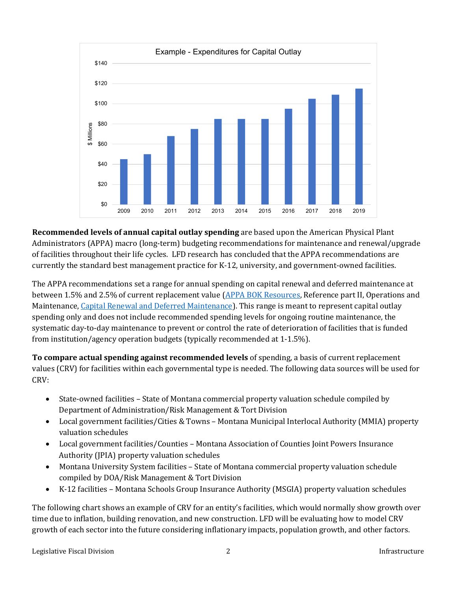

**Recommended levels of annual capital outlay spending** are based upon the American Physical Plant Administrators (APPA) macro (long-term) budgeting recommendations for maintenance and renewal/upgrade of facilities throughout their life cycles. LFD research has concluded that the APPA recommendations are currently the standard best management practice for K-12, university, and government-owned facilities.

The APPA recommendations set a range for annual spending on capital renewal and deferred maintenance at between 1.5% and 2.5% of current replacement value [\(APPA BOK Resources,](https://www.appa.org/bok/) Reference part II, Operations and Maintenance[, Capital Renewal and Deferred Maintenance\)](https://www.appa.org/bok/capital-renewal-and-deferred-maintenance/#cost-of-owning-facilities). This range is meant to represent capital outlay spending only and does not include recommended spending levels for ongoing routine maintenance, the systematic day-to-day maintenance to prevent or control the rate of deterioration of facilities that is funded from institution/agency operation budgets (typically recommended at 1-1.5%).

**To compare actual spending against recommended levels** of spending, a basis of current replacement values (CRV) for facilities within each governmental type is needed. The following data sources will be used for CRV:

- State-owned facilities State of Montana commercial property valuation schedule compiled by Department of Administration/Risk Management & Tort Division
- Local government facilities/Cities & Towns Montana Municipal Interlocal Authority (MMIA) property valuation schedules
- Local government facilities/Counties Montana Association of Counties Joint Powers Insurance Authority (JPIA) property valuation schedules
- Montana University System facilities State of Montana commercial property valuation schedule compiled by DOA/Risk Management & Tort Division
- K-12 facilities Montana Schools Group Insurance Authority (MSGIA) property valuation schedules

The following chart shows an example of CRV for an entity's facilities, which would normally show growth over time due to inflation, building renovation, and new construction. LFD will be evaluating how to model CRV growth of each sector into the future considering inflationary impacts, population growth, and other factors.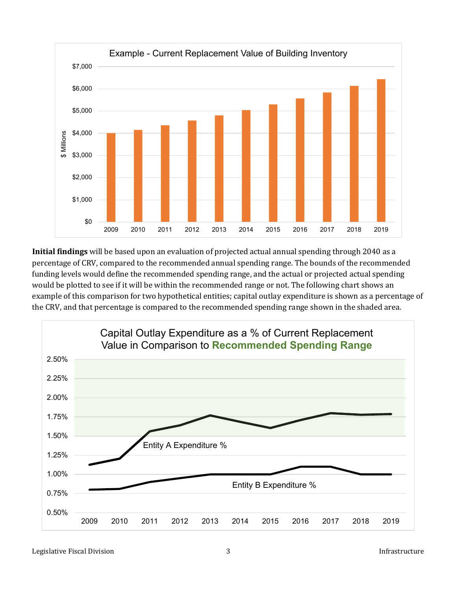

**Initial findings** will be based upon an evaluation of projected actual annual spending through 2040 as a percentage of CRV, compared to the recommended annual spending range. The bounds of the recommended funding levels would define the recommended spending range, and the actual or projected actual spending would be plotted to see if it will be within the recommended range or not. The following chart shows an example of this comparison for two hypothetical entities; capital outlay expenditure is shown as a percentage of the CRV, and that percentage is compared to the recommended spending range shown in the shaded area.

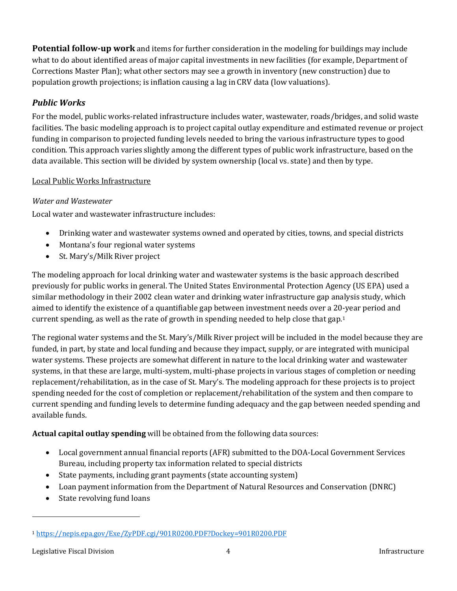**Potential follow-up work** and items for further consideration in the modeling for buildings may include what to do about identified areas of major capital investments in new facilities (for example, Department of Corrections Master Plan); what other sectors may see a growth in inventory (new construction) due to population growth projections; is inflation causing a lag in CRV data (low valuations).

## *Public Works*

For the model, public works-related infrastructure includes water, wastewater, roads/bridges, and solid waste facilities. The basic modeling approach is to project capital outlay expenditure and estimated revenue or project funding in comparison to projected funding levels needed to bring the various infrastructure types to good condition. This approach varies slightly among the different types of public work infrastructure, based on the data available. This section will be divided by system ownership (local vs. state) and then by type.

## Local Public Works Infrastructure

## *Water and Wastewater*

Local water and wastewater infrastructure includes:

- Drinking water and wastewater systems owned and operated by cities, towns, and special districts
- Montana's four regional water systems
- St. Mary's/Milk River project

The modeling approach for local drinking water and wastewater systems is the basic approach described previously for public works in general. The United States Environmental Protection Agency (US EPA) used a similar methodology in their 2002 clean water and drinking water infrastructure gap analysis study, which aimed to identify the existence of a quantifiable gap between investment needs over a 20-year period and current spending, as well as the rate of growth in spending needed to help close that gap.<sup>[1](#page-3-0)</sup>

The regional water systems and the St. Mary's/Milk River project will be included in the model because they are funded, in part, by state and local funding and because they impact, supply, or are integrated with municipal water systems. These projects are somewhat different in nature to the local drinking water and wastewater systems, in that these are large, multi-system, multi-phase projects in various stages of completion or needing replacement/rehabilitation, as in the case of St. Mary's. The modeling approach for these projects is to project spending needed for the cost of completion or replacement/rehabilitation of the system and then compare to current spending and funding levels to determine funding adequacy and the gap between needed spending and available funds.

**Actual capital outlay spending** will be obtained from the following data sources:

- Local government annual financial reports (AFR) submitted to the DOA-Local Government Services Bureau, including property tax information related to special districts
- State payments, including grant payments (state accounting system)
- Loan payment information from the Department of Natural Resources and Conservation (DNRC)
- State revolving fund loans

<span id="page-3-0"></span><sup>1</sup> <https://nepis.epa.gov/Exe/ZyPDF.cgi/901R0200.PDF?Dockey=901R0200.PDF>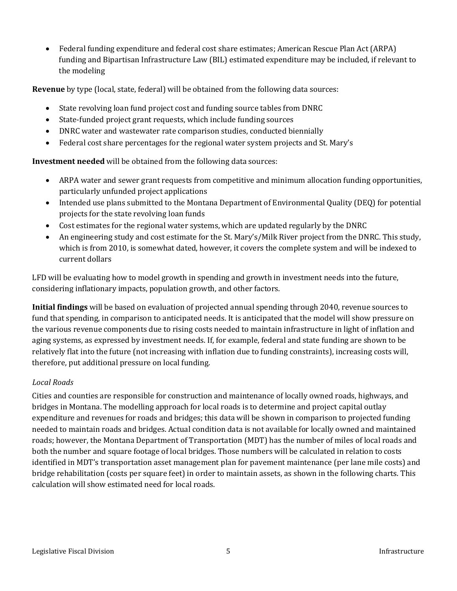• Federal funding expenditure and federal cost share estimates; American Rescue Plan Act (ARPA) funding and Bipartisan Infrastructure Law (BIL) estimated expenditure may be included, if relevant to the modeling

**Revenue** by type (local, state, federal) will be obtained from the following data sources:

- State revolving loan fund project cost and funding source tables from DNRC
- State-funded project grant requests, which include funding sources
- DNRC water and wastewater rate comparison studies, conducted biennially
- Federal cost share percentages for the regional water system projects and St. Mary's

**Investment needed** will be obtained from the following data sources:

- ARPA water and sewer grant requests from competitive and minimum allocation funding opportunities, particularly unfunded project applications
- Intended use plans submitted to the Montana Department of Environmental Quality (DEQ) for potential projects for the state revolving loan funds
- Cost estimates for the regional water systems, which are updated regularly by the DNRC
- An engineering study and cost estimate for the St. Mary's/Milk River project from the DNRC. This study, which is from 2010, is somewhat dated, however, it covers the complete system and will be indexed to current dollars

LFD will be evaluating how to model growth in spending and growth in investment needs into the future, considering inflationary impacts, population growth, and other factors.

**Initial findings** will be based on evaluation of projected annual spending through 2040, revenue sources to fund that spending, in comparison to anticipated needs. It is anticipated that the model will show pressure on the various revenue components due to rising costs needed to maintain infrastructure in light of inflation and aging systems, as expressed by investment needs. If, for example, federal and state funding are shown to be relatively flat into the future (not increasing with inflation due to funding constraints), increasing costs will, therefore, put additional pressure on local funding.

### *Local Roads*

Cities and counties are responsible for construction and maintenance of locally owned roads, highways, and bridges in Montana. The modelling approach for local roads is to determine and project capital outlay expenditure and revenues for roads and bridges; this data will be shown in comparison to projected funding needed to maintain roads and bridges. Actual condition data is not available for locally owned and maintained roads; however, the Montana Department of Transportation (MDT) has the number of miles of local roads and both the number and square footage of local bridges. Those numbers will be calculated in relation to costs identified in MDT's transportation asset management plan for pavement maintenance (per lane mile costs) and bridge rehabilitation (costs per square feet) in order to maintain assets, as shown in the following charts. This calculation will show estimated need for local roads.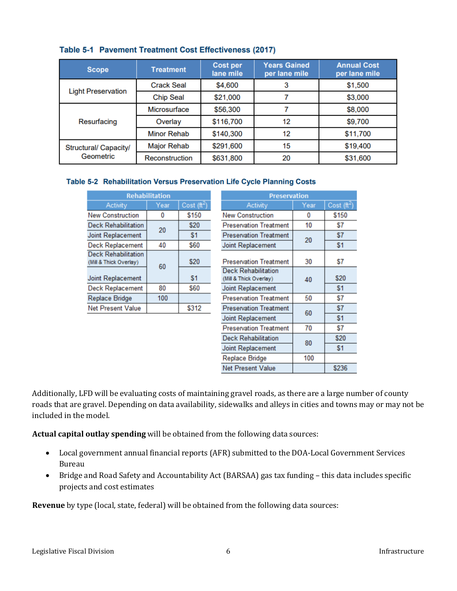| <b>Scope</b>                       | <b>Treatment</b>   | <b>Cost per</b><br>lane mile | <b>Years Gained</b><br>per lane mile | <b>Annual Cost</b><br>per lane mile |  |
|------------------------------------|--------------------|------------------------------|--------------------------------------|-------------------------------------|--|
| <b>Light Preservation</b>          | <b>Crack Seal</b>  | \$4,600                      | 3                                    | \$1,500                             |  |
|                                    | <b>Chip Seal</b>   | \$21,000                     |                                      | \$3,000                             |  |
| Resurfacing                        | Microsurface       | \$56,300                     |                                      | \$8,000                             |  |
|                                    | Overlay            | \$116,700                    | 12                                   | \$9,700                             |  |
|                                    | <b>Minor Rehab</b> | \$140,300                    | 12                                   | \$11,700                            |  |
| Structural/ Capacity/<br>Geometric | <b>Major Rehab</b> | \$291,600                    | 15                                   | \$19,400                            |  |
|                                    | Reconstruction     | \$631,800                    | 20                                   | \$31,600                            |  |

### Table 5-1 Pavement Treatment Cost Effectiveness (2017)

#### Table 5-2 Rehabilitation Versus Preservation Life Cycle Planning Costs

| Cost $(\mathrm{ft}^2)$<br><b>Activity</b><br>Year<br><b>New Construction</b><br>\$150<br>Ω<br><b>Deck Rehabilitation</b><br>\$20<br>20<br>\$1 | <b>Rehabilitation</b> |                          |  |  |  |  |
|-----------------------------------------------------------------------------------------------------------------------------------------------|-----------------------|--------------------------|--|--|--|--|
|                                                                                                                                               |                       |                          |  |  |  |  |
|                                                                                                                                               |                       |                          |  |  |  |  |
|                                                                                                                                               |                       |                          |  |  |  |  |
|                                                                                                                                               |                       | Joint Replacement        |  |  |  |  |
| \$60<br><b>Deck Replacement</b><br>40                                                                                                         |                       |                          |  |  |  |  |
| <b>Deck Rehabilitation</b><br>\$20<br>(Mill & Thick Overlay)<br>60                                                                            |                       | <b>Joint Replacement</b> |  |  |  |  |
| \$1                                                                                                                                           |                       |                          |  |  |  |  |
| <b>Deck Replacement</b><br>80<br>\$60                                                                                                         |                       |                          |  |  |  |  |
| 100<br>Replace Bridge                                                                                                                         |                       |                          |  |  |  |  |
| <b>Net Present Value</b><br>\$312                                                                                                             |                       |                          |  |  |  |  |

| <b>Preservation</b>                                  |      |                        |  |  |  |  |
|------------------------------------------------------|------|------------------------|--|--|--|--|
| Activity                                             | Year | Cost $(\mathrm{ft}^2)$ |  |  |  |  |
| <b>New Construction</b>                              | 0    | \$150                  |  |  |  |  |
| <b>Preservation Treatment</b>                        | 10   | \$7                    |  |  |  |  |
| <b>Preservation Treatment</b>                        | 20   | \$7                    |  |  |  |  |
| <b>Joint Replacement</b>                             |      | \$1                    |  |  |  |  |
| <b>Preservation Treatment</b>                        | 30   | \$7                    |  |  |  |  |
| <b>Deck Rehabilitation</b><br>(Mill & Thick Overlay) | 40   | \$20                   |  |  |  |  |
| <b>Joint Replacement</b>                             |      | \$1                    |  |  |  |  |
| <b>Preservation Treatment</b>                        | 50   | \$7                    |  |  |  |  |
| <b>Preservation Treatment</b>                        | 60   | \$7                    |  |  |  |  |
| <b>Joint Replacement</b>                             |      | \$1                    |  |  |  |  |
| <b>Preservation Treatment</b>                        | 70   | \$7                    |  |  |  |  |
| <b>Deck Rehabilitation</b>                           | 80   | \$20                   |  |  |  |  |
| Joint Replacement                                    |      | \$1                    |  |  |  |  |
| Replace Bridge                                       | 100  |                        |  |  |  |  |
| <b>Net Present Value</b>                             |      | \$236                  |  |  |  |  |

Additionally, LFD will be evaluating costs of maintaining gravel roads, as there are a large number of county roads that are gravel. Depending on data availability, sidewalks and alleys in cities and towns may or may not be included in the model.

**Actual capital outlay spending** will be obtained from the following data sources:

- Local government annual financial reports (AFR) submitted to the DOA-Local Government Services Bureau
- Bridge and Road Safety and Accountability Act (BARSAA) gas tax funding this data includes specific projects and cost estimates

**Revenue** by type (local, state, federal) will be obtained from the following data sources: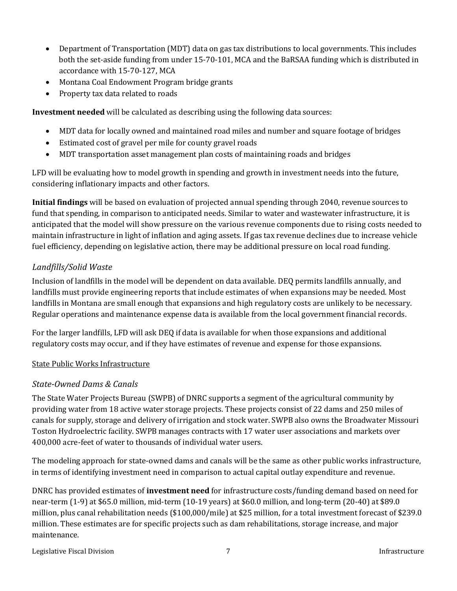- Department of Transportation (MDT) data on gas tax distributions to local governments. This includes both the set-aside funding from under 15-70-101, MCA and the BaRSAA funding which is distributed in accordance with 15-70-127, MCA
- Montana Coal Endowment Program bridge grants
- Property tax data related to roads

**Investment needed** will be calculated as describing using the following data sources:

- MDT data for locally owned and maintained road miles and number and square footage of bridges
- Estimated cost of gravel per mile for county gravel roads
- MDT transportation asset management plan costs of maintaining roads and bridges

LFD will be evaluating how to model growth in spending and growth in investment needs into the future, considering inflationary impacts and other factors.

**Initial findings** will be based on evaluation of projected annual spending through 2040, revenue sources to fund that spending, in comparison to anticipated needs. Similar to water and wastewater infrastructure, it is anticipated that the model will show pressure on the various revenue components due to rising costs needed to maintain infrastructure in light of inflation and aging assets. If gas tax revenue declines due to increase vehicle fuel efficiency, depending on legislative action, there may be additional pressure on local road funding.

## *Landfills/Solid Waste*

Inclusion of landfills in the model will be dependent on data available. DEQ permits landfills annually, and landfills must provide engineering reports that include estimates of when expansions may be needed. Most landfills in Montana are small enough that expansions and high regulatory costs are unlikely to be necessary. Regular operations and maintenance expense data is available from the local government financial records.

For the larger landfills, LFD will ask DEQ if data is available for when those expansions and additional regulatory costs may occur, and if they have estimates of revenue and expense for those expansions.

### State Public Works Infrastructure

### *State-Owned Dams & Canals*

The State Water Projects Bureau (SWPB) of DNRC supports a segment of the agricultural community by providing water from 18 active water storage projects. These projects consist of 22 dams and 250 miles of canals for supply, storage and delivery of irrigation and stock water. SWPB also owns the Broadwater Missouri Toston Hydroelectric facility. SWPB manages contracts with 17 water user associations and markets over 400,000 acre-feet of water to thousands of individual water users.

The modeling approach for state-owned dams and canals will be the same as other public works infrastructure, in terms of identifying investment need in comparison to actual capital outlay expenditure and revenue.

DNRC has provided estimates of **investment need** for infrastructure costs/funding demand based on need for near-term (1-9) at \$65.0 million, mid-term (10-19 years) at \$60.0 million, and long-term (20-40) at \$89.0 million, plus canal rehabilitation needs (\$100,000/mile) at \$25 million, for a total investment forecast of \$239.0 million. These estimates are for specific projects such as dam rehabilitations, storage increase, and major maintenance.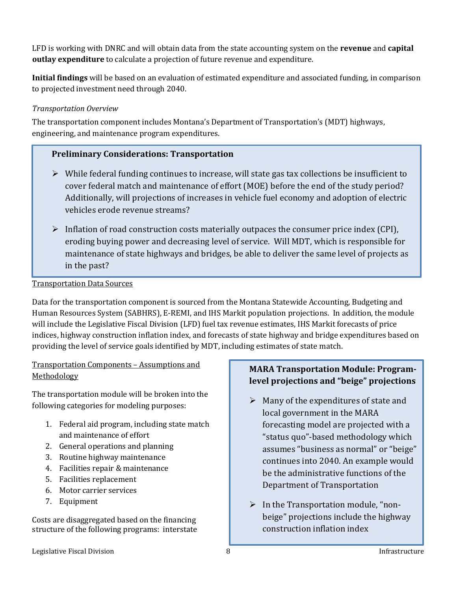LFD is working with DNRC and will obtain data from the state accounting system on the **revenue** and **capital outlay expenditure** to calculate a projection of future revenue and expenditure.

**Initial findings** will be based on an evaluation of estimated expenditure and associated funding, in comparison to projected investment need through 2040.

### *Transportation Overview*

The transportation component includes Montana's Department of Transportation's (MDT) highways, engineering, and maintenance program expenditures.

## **Preliminary Considerations: Transportation**

- $\triangleright$  While federal funding continues to increase, will state gas tax collections be insufficient to cover federal match and maintenance of effort (MOE) before the end of the study period? Additionally, will projections of increases in vehicle fuel economy and adoption of electric vehicles erode revenue streams?
- $\triangleright$  Inflation of road construction costs materially outpaces the consumer price index (CPI), eroding buying power and decreasing level of service. Will MDT, which is responsible for maintenance of state highways and bridges, be able to deliver the same level of projects as in the past?

Transportation Data Sources

Data for the transportation component is sourced from the Montana Statewide Accounting, Budgeting and Human Resources System (SABHRS), E-REMI, and IHS Markit population projections. In addition, the module will include the Legislative Fiscal Division (LFD) fuel tax revenue estimates, IHS Markit forecasts of price indices, highway construction inflation index, and forecasts of state highway and bridge expenditures based on providing the level of service goals identified by MDT, including estimates of state match.

Transportation Components – Assumptions and **Methodology** 

The transportation module will be broken into the following categories for modeling purposes:

- 1. Federal aid program, including state match and maintenance of effort
- 2. General operations and planning
- 3. Routine highway maintenance
- 4. Facilities repair & maintenance
- 5. Facilities replacement
- 6. Motor carrier services
- 7. Equipment

Costs are disaggregated based on the financing structure of the following programs: interstate

## **MARA Transportation Module: Programlevel projections and "beige" projections**

- $\triangleright$  Many of the expenditures of state and local government in the MARA forecasting model are projected with a "status quo"-based methodology which assumes "business as normal" or "beige" continues into 2040. An example would be the administrative functions of the Department of Transportation
- $\triangleright$  In the Transportation module, "nonbeige" projections include the highway construction inflation index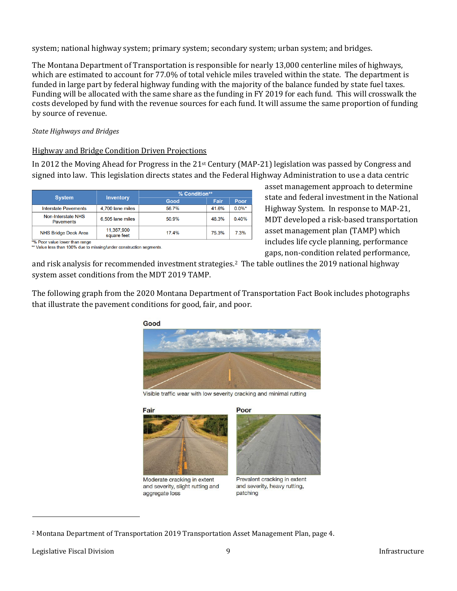system; national highway system; primary system; secondary system; urban system; and bridges.

The Montana Department of Transportation is responsible for nearly 13,000 centerline miles of highways, which are estimated to account for 77.0% of total vehicle miles traveled within the state. The department is funded in large part by federal highway funding with the majority of the balance funded by state fuel taxes. Funding will be allocated with the same share as the funding in FY 2019 for each fund. This will crosswalk the costs developed by fund with the revenue sources for each fund. It will assume the same proportion of funding by source of revenue.

#### *State Highways and Bridges*

#### Highway and Bridge Condition Driven Projections

In 2012 the Moving Ahead for Progress in the 21st Century (MAP-21) legislation was passed by Congress and signed into law. This legislation directs states and the Federal Highway Administration to use a data centric

|                                                          |                  | % Condition** |       |           |
|----------------------------------------------------------|------------------|---------------|-------|-----------|
| <b>System</b>                                            | <b>Inventory</b> | Good          | Fair  | Poor      |
| <b>Interstate Pavements</b>                              | 4,700 lane miles | 56.7%         | 41.6% | $0.0\%$ * |
| Non-Interstate NHS<br><b>Pavements</b>                   | 6.505 lane miles | 50.9%         | 48.3% | 0.40%     |
| 11,367,900<br><b>NHS Bridge Deck Area</b><br>square feet |                  | 17.4%         | 75.3% | 7.3%      |

\*% Poor value lower than range

\*\* Value less than 100% due to missing/under construction segments.

and risk analysis for recommended investment strategies.[2](#page-8-0) The table outlines the 2019 national highway system asset conditions from the MDT 2019 TAMP.

The following graph from the 2020 Montana Department of Transportation Fact Book includes photographs that illustrate the pavement conditions for good, fair, and poor.



Visible traffic wear with low severity cracking and minimal rutting

Fair



Moderate cracking in extent and severity, slight rutting and aggregate loss



asset management approach to determine state and federal investment in the National Highway System. In response to MAP-21, MDT developed a risk-based transportation asset management plan (TAMP) which includes life cycle planning, performance gaps, non-condition related performance,

Prevalent cracking in extent and severity, heavy rutting, patching

<span id="page-8-0"></span><sup>2</sup> Montana Department of Transportation 2019 Transportation Asset Management Plan, page 4.